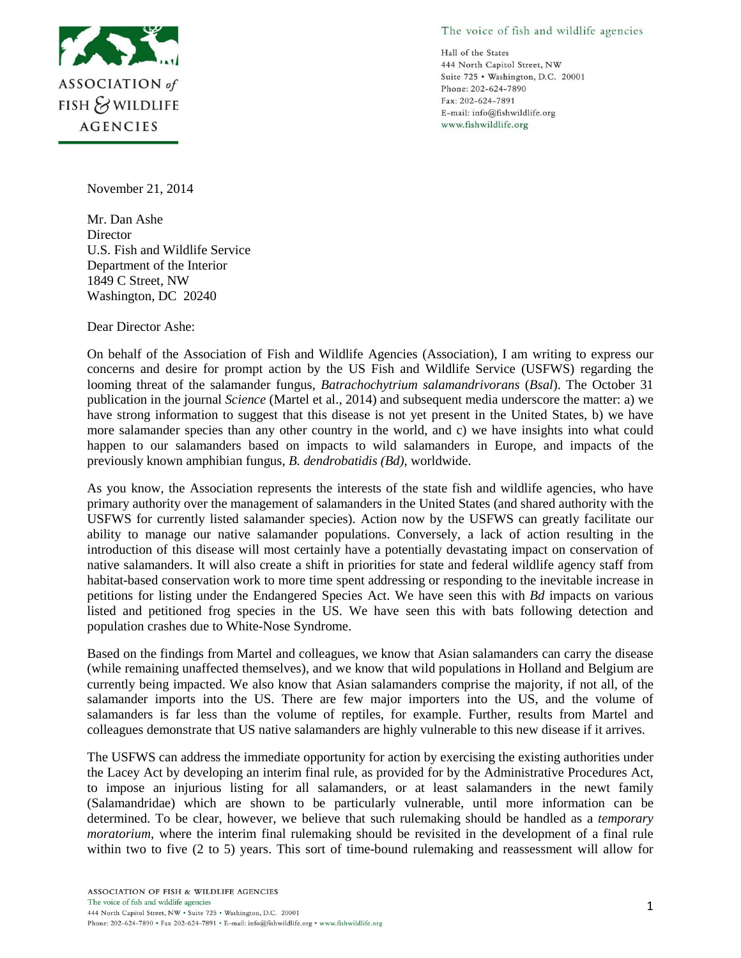

The voice of fish and wildlife agencies

Hall of the States 444 North Capitol Street, NW Suite 725 · Washington, D.C. 20001 Phone: 202-624-7890 Fax: 202-624-7891 E-mail: info@fishwildlife.org www.fishwildlife.org

November 21, 2014

Mr. Dan Ashe **Director** U.S. Fish and Wildlife Service Department of the Interior 1849 C Street, NW Washington, DC 20240

Dear Director Ashe:

On behalf of the Association of Fish and Wildlife Agencies (Association), I am writing to express our concerns and desire for prompt action by the US Fish and Wildlife Service (USFWS) regarding the looming threat of the salamander fungus, *Batrachochytrium salamandrivorans* (*Bsal*). The October 31 publication in the journal *Science* (Martel et al., 2014) and subsequent media underscore the matter: a) we have strong information to suggest that this disease is not yet present in the United States, b) we have more salamander species than any other country in the world, and c) we have insights into what could happen to our salamanders based on impacts to wild salamanders in Europe, and impacts of the previously known amphibian fungus, *B. dendrobatidis (Bd)*, worldwide.

As you know, the Association represents the interests of the state fish and wildlife agencies, who have primary authority over the management of salamanders in the United States (and shared authority with the USFWS for currently listed salamander species). Action now by the USFWS can greatly facilitate our ability to manage our native salamander populations. Conversely, a lack of action resulting in the introduction of this disease will most certainly have a potentially devastating impact on conservation of native salamanders. It will also create a shift in priorities for state and federal wildlife agency staff from habitat-based conservation work to more time spent addressing or responding to the inevitable increase in petitions for listing under the Endangered Species Act. We have seen this with *Bd* impacts on various listed and petitioned frog species in the US. We have seen this with bats following detection and population crashes due to White-Nose Syndrome.

Based on the findings from Martel and colleagues, we know that Asian salamanders can carry the disease (while remaining unaffected themselves), and we know that wild populations in Holland and Belgium are currently being impacted. We also know that Asian salamanders comprise the majority, if not all, of the salamander imports into the US. There are few major importers into the US, and the volume of salamanders is far less than the volume of reptiles, for example. Further, results from Martel and colleagues demonstrate that US native salamanders are highly vulnerable to this new disease if it arrives.

The USFWS can address the immediate opportunity for action by exercising the existing authorities under the Lacey Act by developing an interim final rule, as provided for by the Administrative Procedures Act, to impose an injurious listing for all salamanders, or at least salamanders in the newt family (Salamandridae) which are shown to be particularly vulnerable, until more information can be determined. To be clear, however, we believe that such rulemaking should be handled as a *temporary moratorium*, where the interim final rulemaking should be revisited in the development of a final rule within two to five (2 to 5) years. This sort of time-bound rulemaking and reassessment will allow for